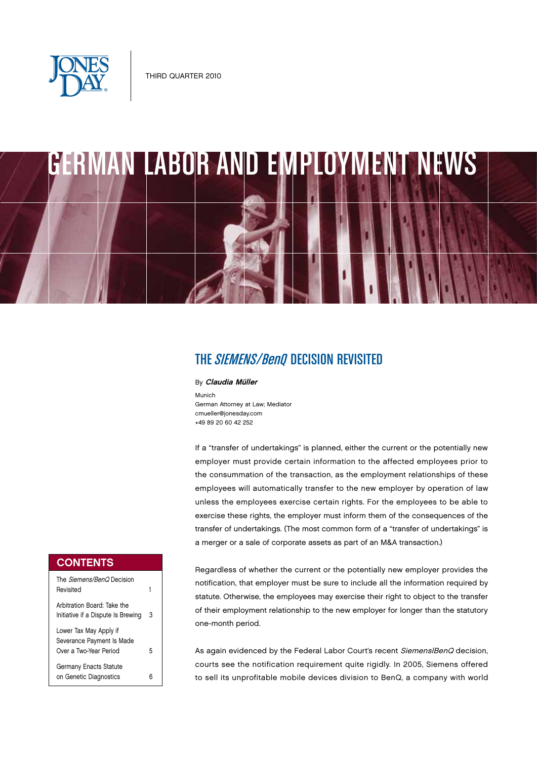

# GERMAN LABOR AND EMPLOYMENT NEWS

# THE *SIEMENS/BenO* DECISION REVISITED

By Claudia Müller

Munich German Attorney at Law; Mediator cmueller@jonesday.com +49 89 20 60 42 252

If a "transfer of undertakings" is planned, either the current or the potentially new employer must provide certain information to the affected employees prior to the consummation of the transaction, as the employment relationships of these employees will automatically transfer to the new employer by operation of law unless the employees exercise certain rights. For the employees to be able to exercise these rights, the employer must inform them of the consequences of the transfer of undertakings. (The most common form of a "transfer of undertakings" is a merger or a sale of corporate assets as part of an M&A transaction.)

Regardless of whether the current or the potentially new employer provides the notification, that employer must be sure to include all the information required by statute. Otherwise, the employees may exercise their right to object to the transfer of their employment relationship to the new employer for longer than the statutory one-month period.

As again evidenced by the Federal Labor Court's recent Siemens/BenQ decision, courts see the notification requirement quite rigidly. In 2005, Siemens offered to sell its unprofitable mobile devices division to BenQ, a company with world

## **CONTENTS**

| The Siemens/BenO Decision<br>Revisited                                        |   |
|-------------------------------------------------------------------------------|---|
| Arbitration Board: Take the<br>Initiative if a Dispute Is Brewing             | 3 |
| Lower Tax May Apply if<br>Severance Payment Is Made<br>Over a Two-Year Period | 5 |
| <b>Germany Enacts Statute</b><br>on Genetic Diagnostics                       |   |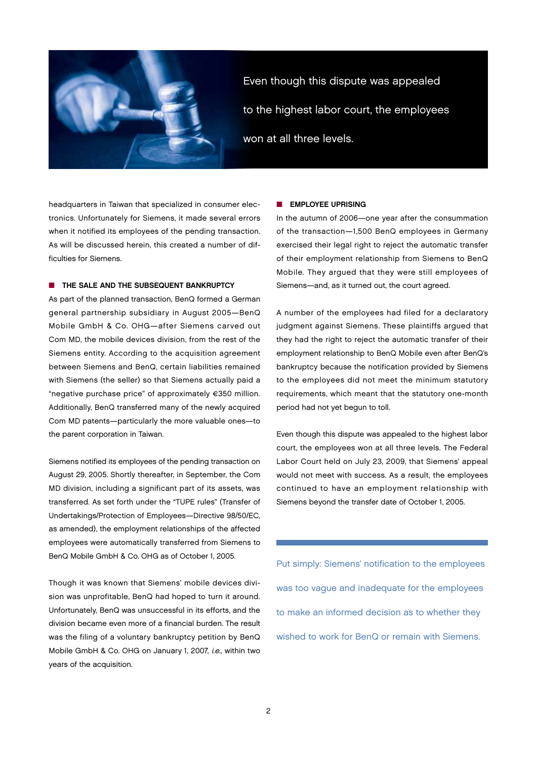

Even though this dispute was appealed to the highest labor court, the employees won at all three levels.

headquarters in Taiwan that specialized in consumer electronics. Unfortunately for Siemens, it made several errors when it notified its employees of the pending transaction. As will be discussed herein, this created a number of difficulties for Siemens.

## **n** THE SALE AND THE SUBSEQUENT BANKRUPTCY

As part of the planned transaction, BenQ formed a German general partnership subsidiary in August 2005—BenQ Mobile GmbH & Co. OHG—after Siemens carved out Com MD, the mobile devices division, from the rest of the Siemens entity. According to the acquisition agreement between Siemens and BenQ, certain liabilities remained with Siemens (the seller) so that Siemens actually paid a "negative purchase price" of approximately €350 million. Additionally, BenQ transferred many of the newly acquired Com MD patents—particularly the more valuable ones—to the parent corporation in Taiwan.

Siemens notified its employees of the pending transaction on August 29, 2005. Shortly thereafter, in September, the Com MD division, including a significant part of its assets, was transferred. As set forth under the "TUPE rules" (Transfer of Undertakings/Protection of Employees—Directive 98/50/EC, as amended), the employment relationships of the affected employees were automatically transferred from Siemens to BenQ Mobile GmbH & Co. OHG as of October 1, 2005.

Though it was known that Siemens' mobile devices division was unprofitable, BenQ had hoped to turn it around. Unfortunately, BenQ was unsuccessful in its efforts, and the division became even more of a financial burden. The result was the filing of a voluntary bankruptcy petition by BenQ Mobile GmbH & Co. OHG on January 1, 2007, i.e., within two years of the acquisition.

#### **NO EMPLOYEE UPRISING**

In the autumn of 2006—one year after the consummation of the transaction—1,500 BenQ employees in Germany exercised their legal right to reject the automatic transfer of their employment relationship from Siemens to BenQ Mobile. They argued that they were still employees of Siemens—and, as it turned out, the court agreed.

A number of the employees had filed for a declaratory judgment against Siemens. These plaintiffs argued that they had the right to reject the automatic transfer of their employment relationship to BenQ Mobile even after BenQ's bankruptcy because the notification provided by Siemens to the employees did not meet the minimum statutory requirements, which meant that the statutory one-month period had not yet begun to toll.

Even though this dispute was appealed to the highest labor court, the employees won at all three levels. The Federal Labor Court held on July 23, 2009, that Siemens' appeal would not meet with success. As a result, the employees continued to have an employment relationship with Siemens beyond the transfer date of October 1, 2005.

Put simply: Siemens' notification to the employees was too vague and inadequate for the employees to make an informed decision as to whether they wished to work for BenQ or remain with Siemens.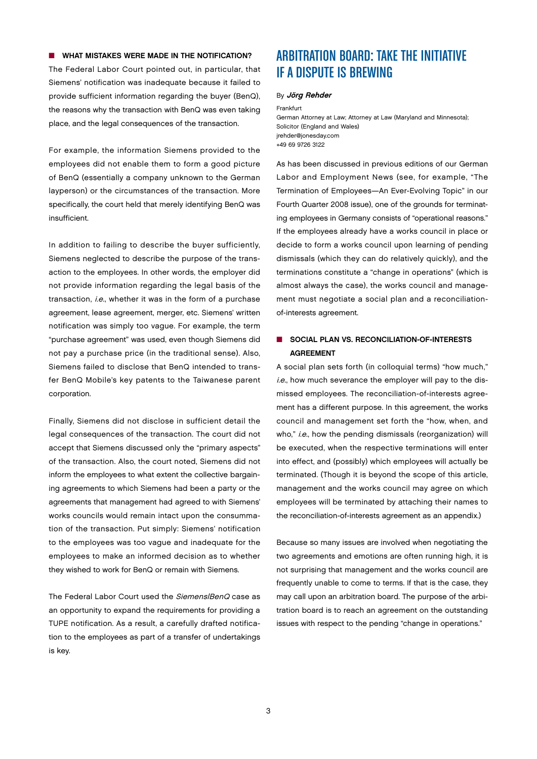## $\blacksquare$  WHAT MISTAKES WERE MADE IN THE NOTIFICATION?

The Federal Labor Court pointed out, in particular, that Siemens' notification was inadequate because it failed to provide sufficient information regarding the buyer (BenQ), the reasons why the transaction with BenQ was even taking place, and the legal consequences of the transaction.

For example, the information Siemens provided to the employees did not enable them to form a good picture of BenQ (essentially a company unknown to the German layperson) or the circumstances of the transaction. More specifically, the court held that merely identifying BenQ was insufficient.

In addition to failing to describe the buyer sufficiently, Siemens neglected to describe the purpose of the transaction to the employees. In other words, the employer did not provide information regarding the legal basis of the transaction, i.e., whether it was in the form of a purchase agreement, lease agreement, merger, etc. Siemens' written notification was simply too vague. For example, the term "purchase agreement" was used, even though Siemens did not pay a purchase price (in the traditional sense). Also, Siemens failed to disclose that BenQ intended to transfer BenQ Mobile's key patents to the Taiwanese parent corporation.

Finally, Siemens did not disclose in sufficient detail the legal consequences of the transaction. The court did not accept that Siemens discussed only the "primary aspects" of the transaction. Also, the court noted, Siemens did not inform the employees to what extent the collective bargaining agreements to which Siemens had been a party or the agreements that management had agreed to with Siemens' works councils would remain intact upon the consummation of the transaction. Put simply: Siemens' notification to the employees was too vague and inadequate for the employees to make an informed decision as to whether they wished to work for BenQ or remain with Siemens.

The Federal Labor Court used the Siemens/BenQ case as an opportunity to expand the requirements for providing a TUPE notification. As a result, a carefully drafted notification to the employees as part of a transfer of undertakings is key.

## ARBITRATION BOARD: TAKE THE INITIATIVE IF A DISPUTE IS BREWING

#### By Jörg Rehder

Frankfurt

German Attorney at Law; Attorney at Law (Maryland and Minnesota); Solicitor (England and Wales) jrehder@jonesday.com +49 69 9726 3122

As has been discussed in previous editions of our German Labor and Employment News (see, for example, "The Termination of Employees—An Ever-Evolving Topic" in our Fourth Quarter 2008 issue), one of the grounds for terminating employees in Germany consists of "operational reasons." If the employees already have a works council in place or decide to form a works council upon learning of pending dismissals (which they can do relatively quickly), and the terminations constitute a "change in operations" (which is almost always the case), the works council and management must negotiate a social plan and a reconciliationof-interests agreement.

## **NUMBER SOCIAL PLAN VS. RECONCILIATION-OF-INTERESTS AGREEMENT**

A social plan sets forth (in colloquial terms) "how much," i.e., how much severance the employer will pay to the dismissed employees. The reconciliation-of-interests agreement has a different purpose. In this agreement, the works council and management set forth the "how, when, and who," i.e., how the pending dismissals (reorganization) will be executed, when the respective terminations will enter into effect, and (possibly) which employees will actually be terminated. (Though it is beyond the scope of this article, management and the works council may agree on which employees will be terminated by attaching their names to the reconciliation-of-interests agreement as an appendix.)

Because so many issues are involved when negotiating the two agreements and emotions are often running high, it is not surprising that management and the works council are frequently unable to come to terms. If that is the case, they may call upon an arbitration board. The purpose of the arbitration board is to reach an agreement on the outstanding issues with respect to the pending "change in operations."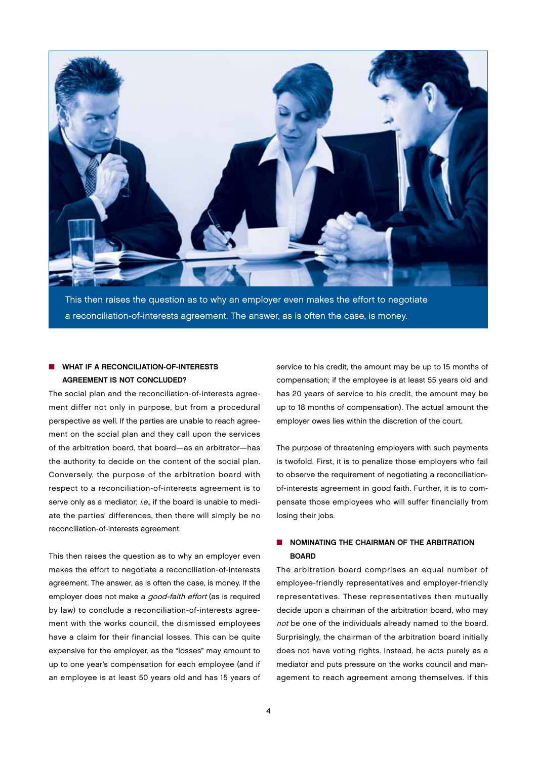

This then raises the question as to why an employer even makes the effort to negotiate a reconciliation-of-interests agreement. The answer, as is often the case, is money.

## WHAT IF A RECONCILIATION-OF-INTERESTS Agreement is Not Concluded?

The social plan and the reconciliation-of-interests agreement differ not only in purpose, but from a procedural perspective as well. If the parties are unable to reach agreement on the social plan and they call upon the services of the arbitration board, that board—as an arbitrator—has the authority to decide on the content of the social plan. Conversely, the purpose of the arbitration board with respect to a reconciliation-of-interests agreement is to serve only as a mediator; i.e., if the board is unable to mediate the parties' differences, then there will simply be no reconciliation-of-interests agreement.

This then raises the question as to why an employer even makes the effort to negotiate a reconciliation-of-interests agreement. The answer, as is often the case, is money. If the employer does not make a good-faith effort (as is required by law) to conclude a reconciliation-of-interests agreement with the works council, the dismissed employees have a claim for their financial losses. This can be quite expensive for the employer, as the "losses" may amount to up to one year's compensation for each employee (and if an employee is at least 50 years old and has 15 years of

service to his credit, the amount may be up to 15 months of compensation; if the employee is at least 55 years old and has 20 years of service to his credit, the amount may be up to 18 months of compensation). The actual amount the employer owes lies within the discretion of the court.

The purpose of threatening employers with such payments is twofold. First, it is to penalize those employers who fail to observe the requirement of negotiating a reconciliationof-interests agreement in good faith. Further, it is to compensate those employees who will suffer financially from losing their jobs.

## $\blacksquare$  NOMINATING THE CHAIRMAN OF THE ARBITRATION **BOARD**

The arbitration board comprises an equal number of employee-friendly representatives and employer-friendly representatives. These representatives then mutually decide upon a chairman of the arbitration board, who may not be one of the individuals already named to the board. Surprisingly, the chairman of the arbitration board initially does not have voting rights. Instead, he acts purely as a mediator and puts pressure on the works council and management to reach agreement among themselves. If this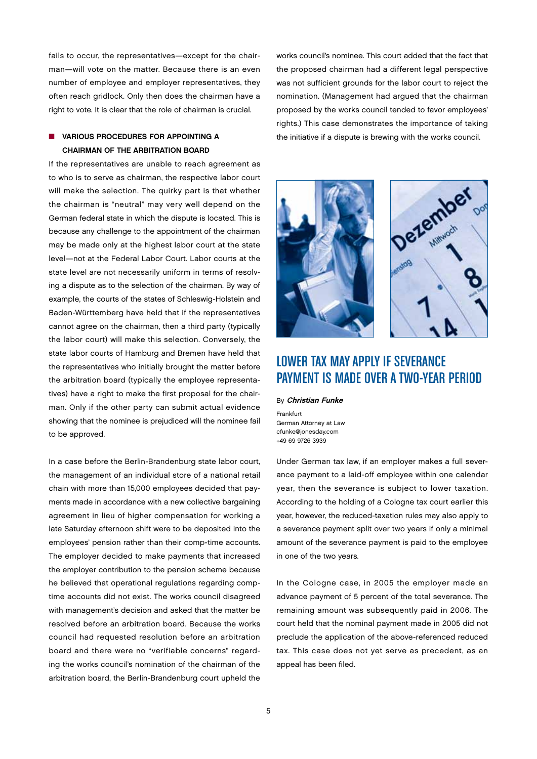fails to occur, the representatives—except for the chairman—will vote on the matter. Because there is an even number of employee and employer representatives, they often reach gridlock. Only then does the chairman have a right to vote. It is clear that the role of chairman is crucial.

## $\blacksquare$  VARIOUS PROCEDURES FOR APPOINTING A Chairman of the Arbitration Board

If the representatives are unable to reach agreement as to who is to serve as chairman, the respective labor court will make the selection. The quirky part is that whether the chairman is "neutral" may very well depend on the German federal state in which the dispute is located. This is because any challenge to the appointment of the chairman may be made only at the highest labor court at the state level—not at the Federal Labor Court. Labor courts at the state level are not necessarily uniform in terms of resolving a dispute as to the selection of the chairman. By way of example, the courts of the states of Schleswig-Holstein and Baden-Württemberg have held that if the representatives cannot agree on the chairman, then a third party (typically the labor court) will make this selection. Conversely, the state labor courts of Hamburg and Bremen have held that the representatives who initially brought the matter before the arbitration board (typically the employee representatives) have a right to make the first proposal for the chairman. Only if the other party can submit actual evidence showing that the nominee is prejudiced will the nominee fail to be approved.

In a case before the Berlin-Brandenburg state labor court, the management of an individual store of a national retail chain with more than 15,000 employees decided that payments made in accordance with a new collective bargaining agreement in lieu of higher compensation for working a late Saturday afternoon shift were to be deposited into the employees' pension rather than their comp-time accounts. The employer decided to make payments that increased the employer contribution to the pension scheme because he believed that operational regulations regarding comptime accounts did not exist. The works council disagreed with management's decision and asked that the matter be resolved before an arbitration board. Because the works council had requested resolution before an arbitration board and there were no "verifiable concerns" regarding the works council's nomination of the chairman of the arbitration board, the Berlin-Brandenburg court upheld the

works council's nominee. This court added that the fact that the proposed chairman had a different legal perspective was not sufficient grounds for the labor court to reject the nomination. (Management had argued that the chairman proposed by the works council tended to favor employees' rights.) This case demonstrates the importance of taking the initiative if a dispute is brewing with the works council.





# LOWER TAX MAY APPLY IF SEVERANCE PAYMENT IS MADE OVER A TWO-YEAR PERIOD

By Christian Funke

Frankfurt German Attorney at Law cfunke@jonesday.com +49 69 9726 3939

Under German tax law, if an employer makes a full severance payment to a laid-off employee within one calendar year, then the severance is subject to lower taxation. According to the holding of a Cologne tax court earlier this year, however, the reduced-taxation rules may also apply to a severance payment split over two years if only a minimal amount of the severance payment is paid to the employee in one of the two years.

In the Cologne case, in 2005 the employer made an advance payment of 5 percent of the total severance. The remaining amount was subsequently paid in 2006. The court held that the nominal payment made in 2005 did not preclude the application of the above-referenced reduced tax. This case does not yet serve as precedent, as an appeal has been filed.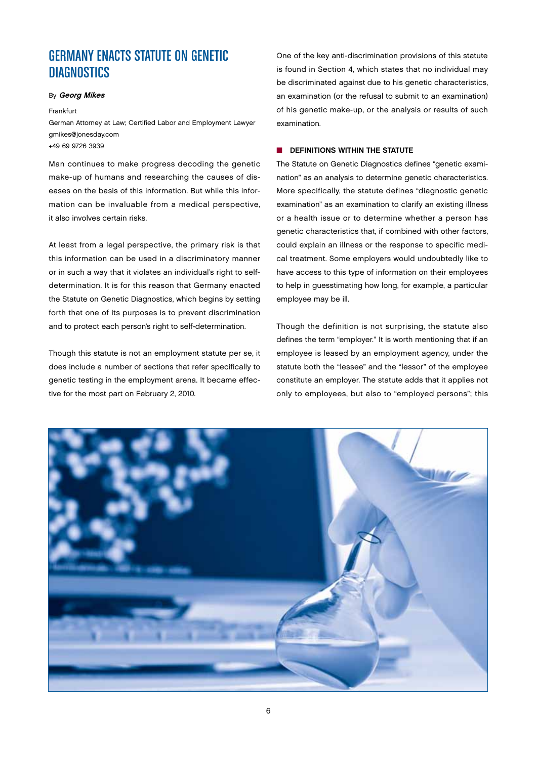# GERMANY ENACTS STATUTE ON GENETIC **DIAGNOSTICS**

#### By Georg Mikes

#### Frankfurt

German Attorney at Law; Certified Labor and Employment Lawyer gmikes@jonesday.com +49 69 9726 3939

Man continues to make progress decoding the genetic make-up of humans and researching the causes of diseases on the basis of this information. But while this information can be invaluable from a medical perspective, it also involves certain risks.

At least from a legal perspective, the primary risk is that this information can be used in a discriminatory manner or in such a way that it violates an individual's right to selfdetermination. It is for this reason that Germany enacted the Statute on Genetic Diagnostics, which begins by setting forth that one of its purposes is to prevent discrimination and to protect each person's right to self-determination.

Though this statute is not an employment statute per se, it does include a number of sections that refer specifically to genetic testing in the employment arena. It became effective for the most part on February 2, 2010.

One of the key anti-discrimination provisions of this statute is found in Section 4, which states that no individual may be discriminated against due to his genetic characteristics, an examination (or the refusal to submit to an examination) of his genetic make-up, or the analysis or results of such examination.

## $\blacksquare$  DEFINITIONS WITHIN THE STATUTE

The Statute on Genetic Diagnostics defines "genetic examination" as an analysis to determine genetic characteristics. More specifically, the statute defines "diagnostic genetic examination" as an examination to clarify an existing illness or a health issue or to determine whether a person has genetic characteristics that, if combined with other factors, could explain an illness or the response to specific medical treatment. Some employers would undoubtedly like to have access to this type of information on their employees to help in guesstimating how long, for example, a particular employee may be ill.

Though the definition is not surprising, the statute also defines the term "employer." It is worth mentioning that if an employee is leased by an employment agency, under the statute both the "lessee" and the "lessor" of the employee constitute an employer. The statute adds that it applies not only to employees, but also to "employed persons"; this

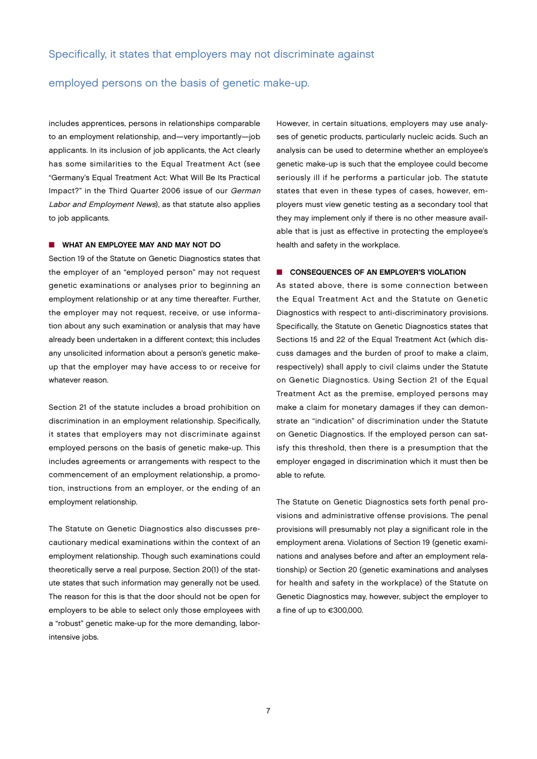## employed persons on the basis of genetic make-up.

includes apprentices, persons in relationships comparable to an employment relationship, and—very importantly—job applicants. In its inclusion of job applicants, the Act clearly has some similarities to the Equal Treatment Act (see "Germany's Equal Treatment Act: What Will Be Its Practical Impact?" in the Third Quarter 2006 issue of our German Labor and Employment News), as that statute also applies to job applicants.

## **NO WHAT AN EMPLOYEE MAY AND MAY NOT DO**

Section 19 of the Statute on Genetic Diagnostics states that the employer of an "employed person" may not request genetic examinations or analyses prior to beginning an employment relationship or at any time thereafter. Further, the employer may not request, receive, or use information about any such examination or analysis that may have already been undertaken in a different context; this includes any unsolicited information about a person's genetic makeup that the employer may have access to or receive for whatever reason.

Section 21 of the statute includes a broad prohibition on discrimination in an employment relationship. Specifically, it states that employers may not discriminate against employed persons on the basis of genetic make-up. This includes agreements or arrangements with respect to the commencement of an employment relationship, a promotion, instructions from an employer, or the ending of an employment relationship.

The Statute on Genetic Diagnostics also discusses precautionary medical examinations within the context of an employment relationship. Though such examinations could theoretically serve a real purpose, Section 20(1) of the statute states that such information may generally not be used. The reason for this is that the door should not be open for employers to be able to select only those employees with a "robust" genetic make-up for the more demanding, laborintensive jobs.

However, in certain situations, employers may use analyses of genetic products, particularly nucleic acids. Such an analysis can be used to determine whether an employee's genetic make-up is such that the employee could become seriously ill if he performs a particular job. The statute states that even in these types of cases, however, employers must view genetic testing as a secondary tool that they may implement only if there is no other measure available that is just as effective in protecting the employee's health and safety in the workplace.

## **n** CONSEQUENCES OF AN EMPLOYER'S VIOLATION

As stated above, there is some connection between the Equal Treatment Act and the Statute on Genetic Diagnostics with respect to anti-discriminatory provisions. Specifically, the Statute on Genetic Diagnostics states that Sections 15 and 22 of the Equal Treatment Act (which discuss damages and the burden of proof to make a claim, respectively) shall apply to civil claims under the Statute on Genetic Diagnostics. Using Section 21 of the Equal Treatment Act as the premise, employed persons may make a claim for monetary damages if they can demonstrate an "indication" of discrimination under the Statute on Genetic Diagnostics. If the employed person can satisfy this threshold, then there is a presumption that the employer engaged in discrimination which it must then be able to refute.

The Statute on Genetic Diagnostics sets forth penal provisions and administrative offense provisions. The penal provisions will presumably not play a significant role in the employment arena. Violations of Section 19 (genetic examinations and analyses before and after an employment relationship) or Section 20 (genetic examinations and analyses for health and safety in the workplace) of the Statute on Genetic Diagnostics may, however, subject the employer to a fine of up to €300,000.